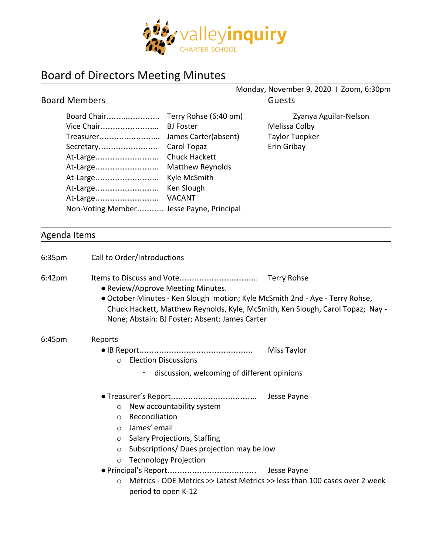

## Board of Directors Meeting Minutes

|                                                                                                     |                                                                                                                                                                   | Monday, November 9, 2020 1 Zoom, 6:30pm                                        |
|-----------------------------------------------------------------------------------------------------|-------------------------------------------------------------------------------------------------------------------------------------------------------------------|--------------------------------------------------------------------------------|
| <b>Board Members</b>                                                                                |                                                                                                                                                                   | <b>Guests</b>                                                                  |
| Board Chair<br>Vice Chair<br>Treasurer<br>Secretary<br>At-Large<br>At-Large<br>At-Large<br>At-Large | Terry Rohse (6:40 pm)<br><b>BJ</b> Foster<br>James Carter(absent)<br>Carol Topaz<br><b>Chuck Hackett</b><br><b>Matthew Reynolds</b><br>Kyle McSmith<br>Ken Slough | Zyanya Aguilar-Nelson<br>Melissa Colby<br><b>Taylor Tuepker</b><br>Erin Gribay |
| At-Large<br>Non-Voting Member Jesse Payne, Principal                                                | <b>VACANT</b>                                                                                                                                                     |                                                                                |
|                                                                                                     |                                                                                                                                                                   |                                                                                |

## Agenda Items

| 6:35 <sub>pm</sub> | Call to Order/Introductions                                                                                                                                                                                                                                          |  |
|--------------------|----------------------------------------------------------------------------------------------------------------------------------------------------------------------------------------------------------------------------------------------------------------------|--|
| $6:42 \text{pm}$   | Terry Rohse<br>• Review/Approve Meeting Minutes.<br>• October Minutes - Ken Slough motion; Kyle McSmith 2nd - Aye - Terry Rohse,<br>Chuck Hackett, Matthew Reynolds, Kyle, McSmith, Ken Slough, Carol Topaz; Nay -<br>None; Abstain: BJ Foster; Absent: James Carter |  |
| 6:45 <sub>pm</sub> | Reports<br>Miss Taylor<br><b>Election Discussions</b><br>$\Omega$                                                                                                                                                                                                    |  |
|                    | discussion, welcoming of different opinions<br>٠.                                                                                                                                                                                                                    |  |
|                    | New accountability system<br>$\circ$<br>Reconciliation<br>$\circ$<br>James' email<br>$\circ$<br><b>Salary Projections, Staffing</b><br>$\circ$<br>Subscriptions/Dues projection may be low<br>$\circ$<br><b>Technology Projection</b><br>$\circ$                     |  |
|                    | Metrics - ODE Metrics >> Latest Metrics >> less than 100 cases over 2 week<br>$\bigcirc$<br>period to open K-12                                                                                                                                                      |  |